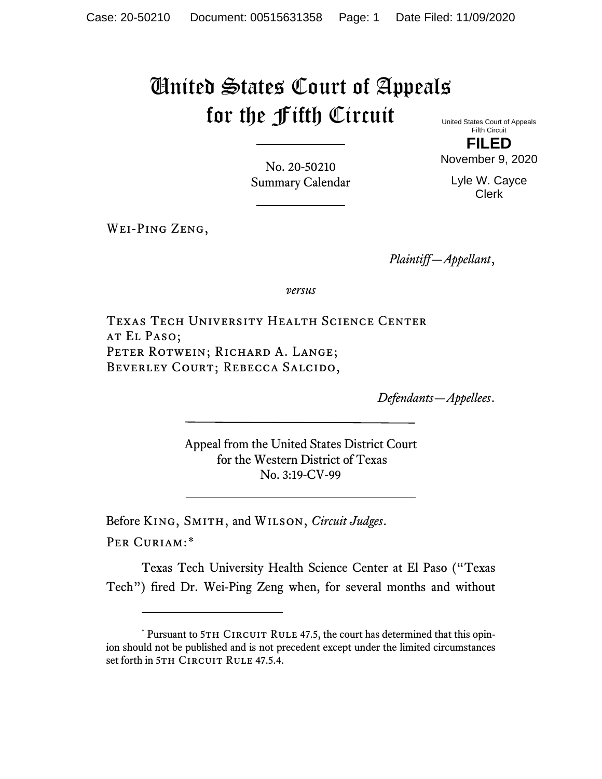# United States Court of Appeals for the Fifth Circuit

United States Court of Appeals Fifth Circuit **FILED**

November 9, 2020

No. 20-50210 Summary Calendar

Lyle W. Cayce Clerk

Wei-Ping Zeng,

*Plaintiff—Appellant*,

*versus*

Texas Tech University Health Science Center at El Paso; PETER ROTWEIN; RICHARD A. LANGE; BEVERLEY COURT; REBECCA SALCIDO,

*Defendants—Appellees*.

Appeal from the United States District Court for the Western District of Texas No. 3:19-CV-99

Before King, Smith, and Wilson, *Circuit Judges*.

Per Curiam:[\\*](#page-0-0)

Texas Tech University Health Science Center at El Paso ("Texas Tech") fired Dr. Wei-Ping Zeng when, for several months and without

<span id="page-0-0"></span> $*$  Pursuant to 5TH CIRCUIT RULE 47.5, the court has determined that this opinion should not be published and is not precedent except under the limited circumstances set forth in 5TH CIRCUIT RULE 47.5.4.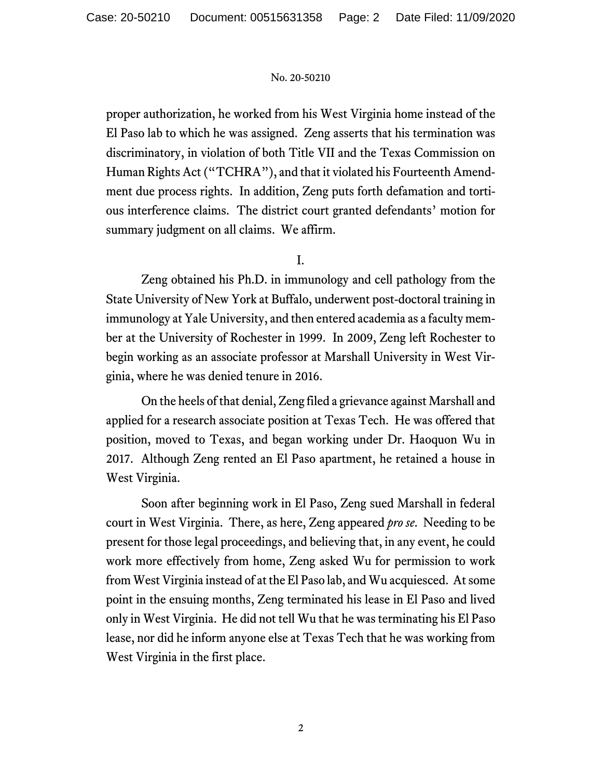proper authorization, he worked from his West Virginia home instead of the El Paso lab to which he was assigned. Zeng asserts that his termination was discriminatory, in violation of both Title VII and the Texas Commission on Human Rights Act ("TCHRA"), and that it violated his Fourteenth Amendment due process rights. In addition, Zeng puts forth defamation and tortious interference claims. The district court granted defendants' motion for summary judgment on all claims. We affirm.

# I.

Zeng obtained his Ph.D. in immunology and cell pathology from the State University of New York at Buffalo, underwent post-doctoral training in immunology at Yale University, and then entered academia as a faculty member at the University of Rochester in 1999. In 2009, Zeng left Rochester to begin working as an associate professor at Marshall University in West Virginia, where he was denied tenure in 2016.

On the heels of that denial, Zeng filed a grievance against Marshall and applied for a research associate position at Texas Tech. He was offered that position, moved to Texas, and began working under Dr. Haoquon Wu in 2017. Although Zeng rented an El Paso apartment, he retained a house in West Virginia.

Soon after beginning work in El Paso, Zeng sued Marshall in federal court in West Virginia. There, as here, Zeng appeared *pro se*. Needing to be present for those legal proceedings, and believing that, in any event, he could work more effectively from home, Zeng asked Wu for permission to work from West Virginia instead of at the El Paso lab, and Wu acquiesced. At some point in the ensuing months, Zeng terminated his lease in El Paso and lived only in West Virginia. He did not tell Wu that he was terminating his El Paso lease, nor did he inform anyone else at Texas Tech that he was working from West Virginia in the first place.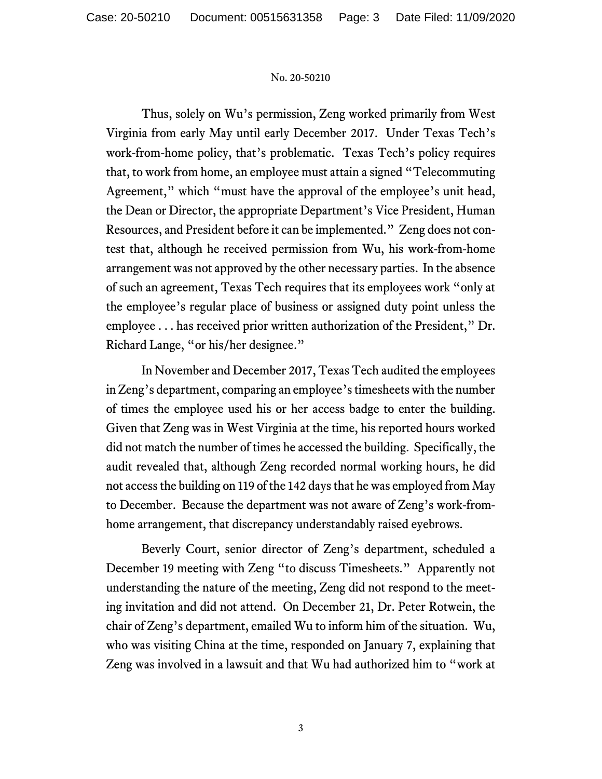Thus, solely on Wu's permission, Zeng worked primarily from West Virginia from early May until early December 2017. Under Texas Tech's work-from-home policy, that's problematic. Texas Tech's policy requires that, to work from home, an employee must attain a signed "Telecommuting Agreement," which "must have the approval of the employee's unit head, the Dean or Director, the appropriate Department's Vice President, Human Resources, and President before it can be implemented." Zeng does not contest that, although he received permission from Wu, his work-from-home arrangement was not approved by the other necessary parties. In the absence of such an agreement, Texas Tech requires that its employees work "only at the employee's regular place of business or assigned duty point unless the employee . . . has received prior written authorization of the President," Dr. Richard Lange, "or his/her designee."

In November and December 2017, Texas Tech audited the employees in Zeng's department, comparing an employee's timesheets with the number of times the employee used his or her access badge to enter the building. Given that Zeng was in West Virginia at the time, his reported hours worked did not match the number of times he accessed the building. Specifically, the audit revealed that, although Zeng recorded normal working hours, he did not access the building on 119 of the 142 days that he was employed from May to December. Because the department was not aware of Zeng's work-fromhome arrangement, that discrepancy understandably raised eyebrows.

Beverly Court, senior director of Zeng's department, scheduled a December 19 meeting with Zeng "to discuss Timesheets." Apparently not understanding the nature of the meeting, Zeng did not respond to the meeting invitation and did not attend. On December 21, Dr. Peter Rotwein, the chair of Zeng's department, emailed Wu to inform him of the situation. Wu, who was visiting China at the time, responded on January 7, explaining that Zeng was involved in a lawsuit and that Wu had authorized him to "work at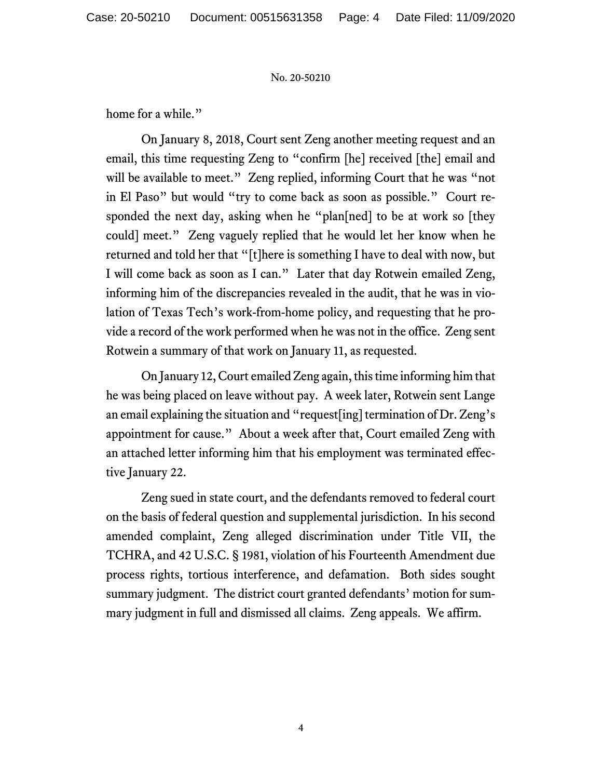home for a while."

On January 8, 2018, Court sent Zeng another meeting request and an email, this time requesting Zeng to "confirm [he] received [the] email and will be available to meet." Zeng replied, informing Court that he was "not in El Paso" but would "try to come back as soon as possible." Court responded the next day, asking when he "plan[ned] to be at work so [they could] meet." Zeng vaguely replied that he would let her know when he returned and told her that "[t]here is something I have to deal with now, but I will come back as soon as I can." Later that day Rotwein emailed Zeng, informing him of the discrepancies revealed in the audit, that he was in violation of Texas Tech's work-from-home policy, and requesting that he provide a record of the work performed when he was not in the office. Zeng sent Rotwein a summary of that work on January 11, as requested.

On January 12, Court emailed Zeng again, this time informing him that he was being placed on leave without pay. A week later, Rotwein sent Lange an email explaining the situation and "request[ing] termination of Dr. Zeng's appointment for cause." About a week after that, Court emailed Zeng with an attached letter informing him that his employment was terminated effective January 22.

Zeng sued in state court, and the defendants removed to federal court on the basis of federal question and supplemental jurisdiction. In his second amended complaint, Zeng alleged discrimination under Title VII, the TCHRA, and 42 U.S.C. § 1981, violation of his Fourteenth Amendment due process rights, tortious interference, and defamation. Both sides sought summary judgment. The district court granted defendants' motion for summary judgment in full and dismissed all claims. Zeng appeals. We affirm.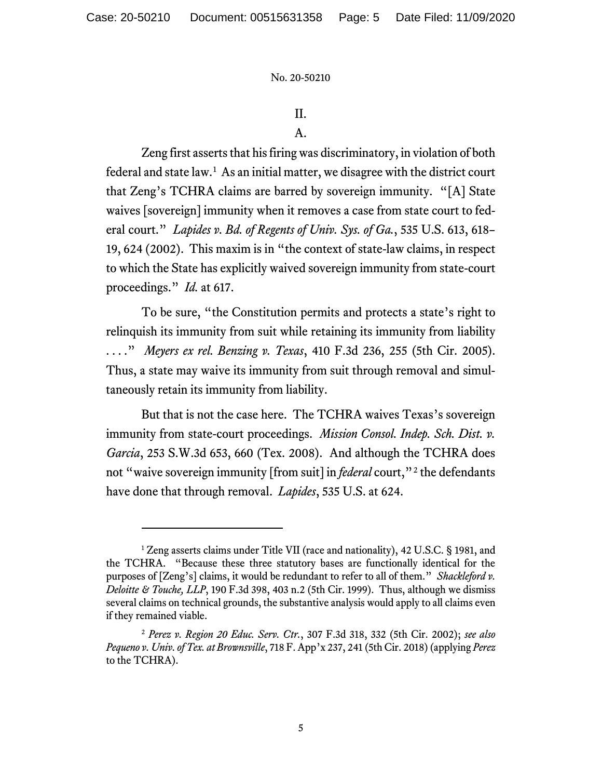# II.

## A.

Zeng first asserts that his firing was discriminatory, in violation of both federal and state law.<sup>[1](#page-4-0)</sup> As an initial matter, we disagree with the district court that Zeng's TCHRA claims are barred by sovereign immunity. "[A] State waives [sovereign] immunity when it removes a case from state court to federal court." *Lapides v. Bd. of Regents of Univ. Sys. of Ga.*, 535 U.S. 613, 618– 19, 624 (2002). This maxim is in "the context of state-law claims, in respect to which the State has explicitly waived sovereign immunity from state-court proceedings." *Id.* at 617.

To be sure, "the Constitution permits and protects a state's right to relinquish its immunity from suit while retaining its immunity from liability . . . ." *Meyers ex rel. Benzing v. Texas*, 410 F.3d 236, 255 (5th Cir. 2005). Thus, a state may waive its immunity from suit through removal and simultaneously retain its immunity from liability.

But that is not the case here. The TCHRA waives Texas's sovereign immunity from state-court proceedings. *Mission Consol. Indep. Sch. Dist. v. Garcia*, 253 S.W.3d 653, 660 (Tex. 2008). And although the TCHRA does not "waive sovereign immunity [from suit] in *federal* court,"<sup>[2](#page-4-1)</sup> the defendants have done that through removal. *Lapides*, 535 U.S. at 624.

<span id="page-4-0"></span><sup>&</sup>lt;sup>1</sup> Zeng asserts claims under Title VII (race and nationality), 42 U.S.C. § 1981, and the TCHRA. "Because these three statutory bases are functionally identical for the purposes of [Zeng's] claims, it would be redundant to refer to all of them." *Shackleford v. Deloitte & Touche, LLP*, 190 F.3d 398, 403 n.2 (5th Cir. 1999). Thus, although we dismiss several claims on technical grounds, the substantive analysis would apply to all claims even if they remained viable.

<span id="page-4-1"></span><sup>2</sup> *Perez v. Region 20 Educ. Serv. Ctr.*, 307 F.3d 318, 332 (5th Cir. 2002); *see also Pequeno v. Univ. of Tex. at Brownsville*, 718 F. App'x 237, 241 (5th Cir. 2018) (applying *Perez* to the TCHRA).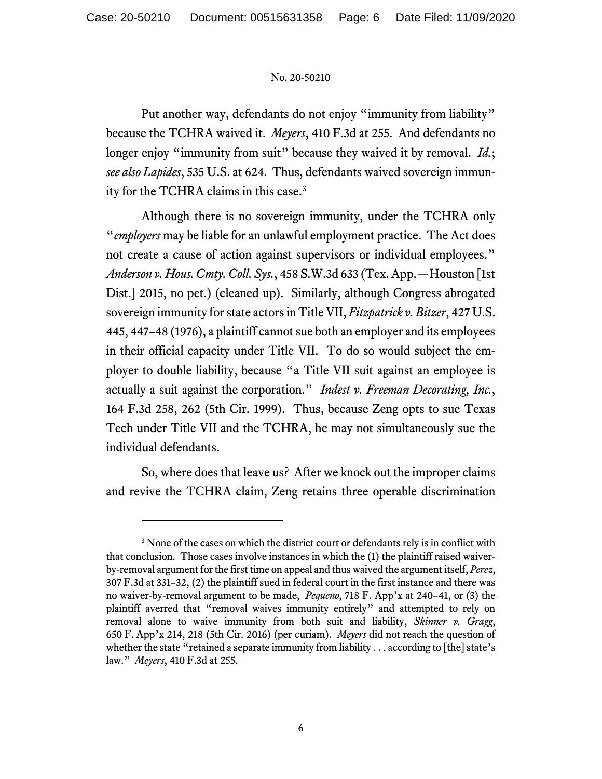Put another way, defendants do not enjoy "immunity from liability" because the TCHRA waived it. *Meyers*, 410 F.3d at 255. And defendants no longer enjoy "immunity from suit" because they waived it by removal. *Id.*; *see also Lapides*, 535 U.S. at 624. Thus, defendants waived sovereign immunity for the TCHRA claims in this case.[3](#page-5-0)

Although there is no sovereign immunity, under the TCHRA only "*employers* may be liable for an unlawful employment practice. The Act does not create a cause of action against supervisors or individual employees." *Anderson v. Hous. Cmty. Coll. Sys.*, 458 S.W.3d 633 (Tex. App.—Houston [1st Dist.] 2015, no pet.) (cleaned up). Similarly, although Congress abrogated sovereign immunity for state actors in Title VII, *Fitzpatrick v. Bitzer*, 427 U.S. 445, 447–48 (1976), a plaintiff cannot sue both an employer and its employees in their official capacity under Title VII. To do so would subject the employer to double liability, because "a Title VII suit against an employee is actually a suit against the corporation." *Indest v. Freeman Decorating, Inc.*, 164 F.3d 258, 262 (5th Cir. 1999). Thus, because Zeng opts to sue Texas Tech under Title VII and the TCHRA, he may not simultaneously sue the individual defendants.

So, where does that leave us? After we knock out the improper claims and revive the TCHRA claim, Zeng retains three operable discrimination

<span id="page-5-0"></span><sup>&</sup>lt;sup>3</sup> None of the cases on which the district court or defendants rely is in conflict with that conclusion. Those cases involve instances in which the (1) the plaintiff raised waiverby-removal argument for the first time on appeal and thus waived the argument itself, *Perez*, 307 F.3d at 331–32, (2) the plaintiff sued in federal court in the first instance and there was no waiver-by-removal argument to be made, *Pequeno*, 718 F. App'x at 240–41, or (3) the plaintiff averred that "removal waives immunity entirely" and attempted to rely on removal alone to waive immunity from both suit and liability, *Skinner v. Gragg*, 650 F. App'x 214, 218 (5th Cir. 2016) (per curiam). *Meyers* did not reach the question of whether the state "retained a separate immunity from liability . . . according to [the] state's law." *Meyers*, 410 F.3d at 255.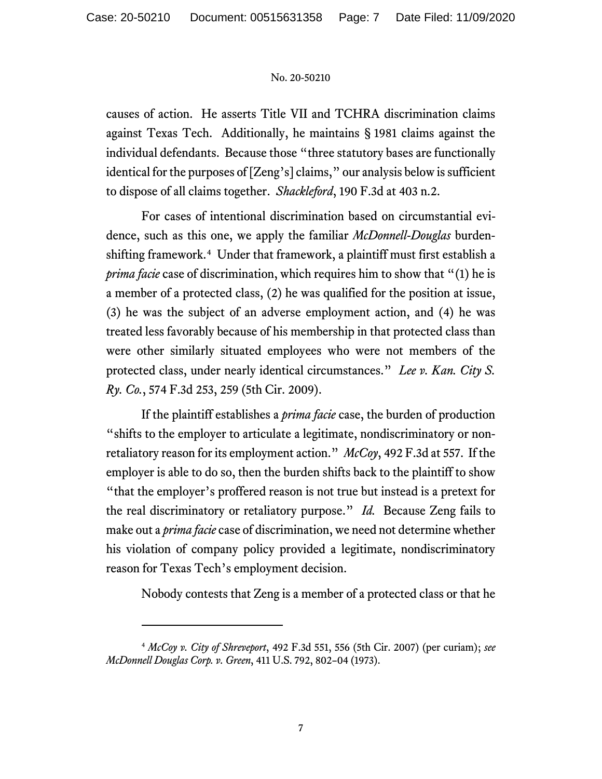causes of action. He asserts Title VII and TCHRA discrimination claims against Texas Tech. Additionally, he maintains § 1981 claims against the individual defendants. Because those "three statutory bases are functionally identical for the purposes of [Zeng's] claims," our analysis below is sufficient to dispose of all claims together. *Shackleford*, 190 F.3d at 403 n.2.

For cases of intentional discrimination based on circumstantial evidence, such as this one, we apply the familiar *McDonnell-Douglas* burdenshifting framework. [4](#page-6-0) Under that framework, a plaintiff must first establish a *prima facie* case of discrimination, which requires him to show that "(1) he is a member of a protected class, (2) he was qualified for the position at issue, (3) he was the subject of an adverse employment action, and (4) he was treated less favorably because of his membership in that protected class than were other similarly situated employees who were not members of the protected class, under nearly identical circumstances." *Lee v. Kan. City S. Ry. Co.*, 574 F.3d 253, 259 (5th Cir. 2009).

If the plaintiff establishes a *prima facie* case, the burden of production "shifts to the employer to articulate a legitimate, nondiscriminatory or nonretaliatory reason for its employment action." *McCoy*, 492 F.3d at 557. If the employer is able to do so, then the burden shifts back to the plaintiff to show "that the employer's proffered reason is not true but instead is a pretext for the real discriminatory or retaliatory purpose." *Id.* Because Zeng fails to make out a *prima facie* case of discrimination, we need not determine whether his violation of company policy provided a legitimate, nondiscriminatory reason for Texas Tech's employment decision.

Nobody contests that Zeng is a member of a protected class or that he

<span id="page-6-0"></span><sup>4</sup> *McCoy v. City of Shreveport*, 492 F.3d 551, 556 (5th Cir. 2007) (per curiam); *see McDonnell Douglas Corp. v. Green*, 411 U.S. 792, 802–04 (1973).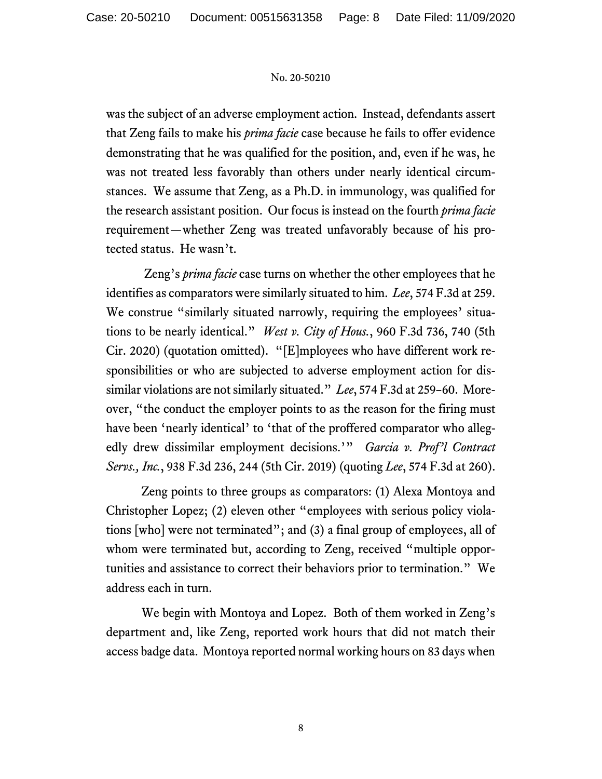was the subject of an adverse employment action. Instead, defendants assert that Zeng fails to make his *prima facie* case because he fails to offer evidence demonstrating that he was qualified for the position, and, even if he was, he was not treated less favorably than others under nearly identical circumstances. We assume that Zeng, as a Ph.D. in immunology, was qualified for the research assistant position. Our focus is instead on the fourth *prima facie* requirement—whether Zeng was treated unfavorably because of his protected status. He wasn't.

Zeng's *prima facie* case turns on whether the other employees that he identifies as comparators were similarly situated to him. *Lee*, 574 F.3d at 259. We construe "similarly situated narrowly, requiring the employees' situations to be nearly identical." *West v. City of Hous.*, 960 F.3d 736, 740 (5th Cir. 2020) (quotation omitted). "[E]mployees who have different work responsibilities or who are subjected to adverse employment action for dissimilar violations are not similarly situated." *Lee*, 574 F.3d at 259–60. Moreover, "the conduct the employer points to as the reason for the firing must have been 'nearly identical' to 'that of the proffered comparator who allegedly drew dissimilar employment decisions.'" *Garcia v. Prof'l Contract Servs., Inc.*, 938 F.3d 236, 244 (5th Cir. 2019) (quoting *Lee*, 574 F.3d at 260).

Zeng points to three groups as comparators: (1) Alexa Montoya and Christopher Lopez; (2) eleven other "employees with serious policy violations [who] were not terminated"; and (3) a final group of employees, all of whom were terminated but, according to Zeng, received "multiple opportunities and assistance to correct their behaviors prior to termination." We address each in turn.

We begin with Montoya and Lopez. Both of them worked in Zeng's department and, like Zeng, reported work hours that did not match their access badge data. Montoya reported normal working hours on 83 days when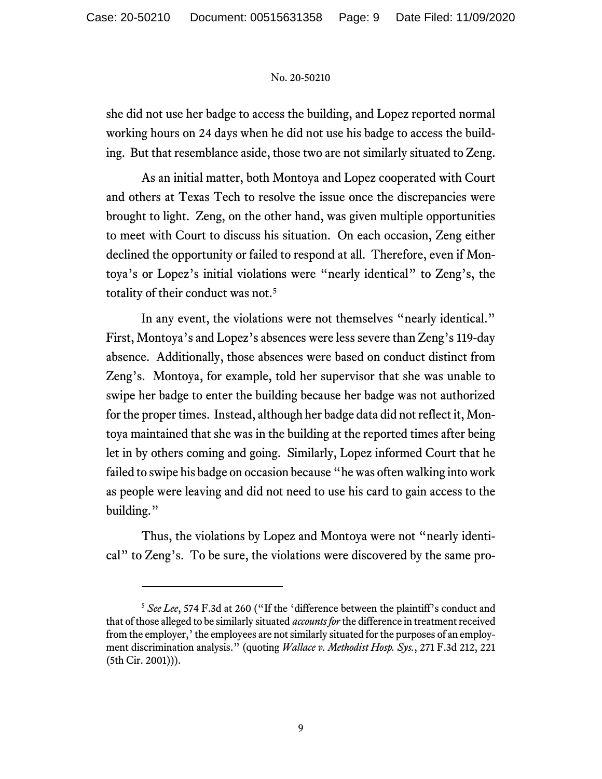she did not use her badge to access the building, and Lopez reported normal working hours on 24 days when he did not use his badge to access the building. But that resemblance aside, those two are not similarly situated to Zeng.

As an initial matter, both Montoya and Lopez cooperated with Court and others at Texas Tech to resolve the issue once the discrepancies were brought to light. Zeng, on the other hand, was given multiple opportunities to meet with Court to discuss his situation. On each occasion, Zeng either declined the opportunity or failed to respond at all. Therefore, even if Montoya's or Lopez's initial violations were "nearly identical" to Zeng's, the totality of their conduct was not.<sup>[5](#page-8-0)</sup>

In any event, the violations were not themselves "nearly identical." First, Montoya's and Lopez's absences were less severe than Zeng's 119-day absence. Additionally, those absences were based on conduct distinct from Zeng's. Montoya, for example, told her supervisor that she was unable to swipe her badge to enter the building because her badge was not authorized for the proper times. Instead, although her badge data did not reflect it, Montoya maintained that she was in the building at the reported times after being let in by others coming and going. Similarly, Lopez informed Court that he failed to swipe his badge on occasion because "he was often walking into work as people were leaving and did not need to use his card to gain access to the building."

Thus, the violations by Lopez and Montoya were not "nearly identical" to Zeng's. To be sure, the violations were discovered by the same pro-

<span id="page-8-0"></span><sup>&</sup>lt;sup>5</sup> See Lee, 574 F.3d at 260 ("If the 'difference between the plaintiff's conduct and that of those alleged to be similarly situated *accountsfor* the difference in treatment received from the employer,'the employees are not similarly situated forthe purposes of an employment discrimination analysis." (quoting *Wallace v. Methodist Hosp. Sys.*, 271 F.3d 212, 221 (5th Cir. 2001))).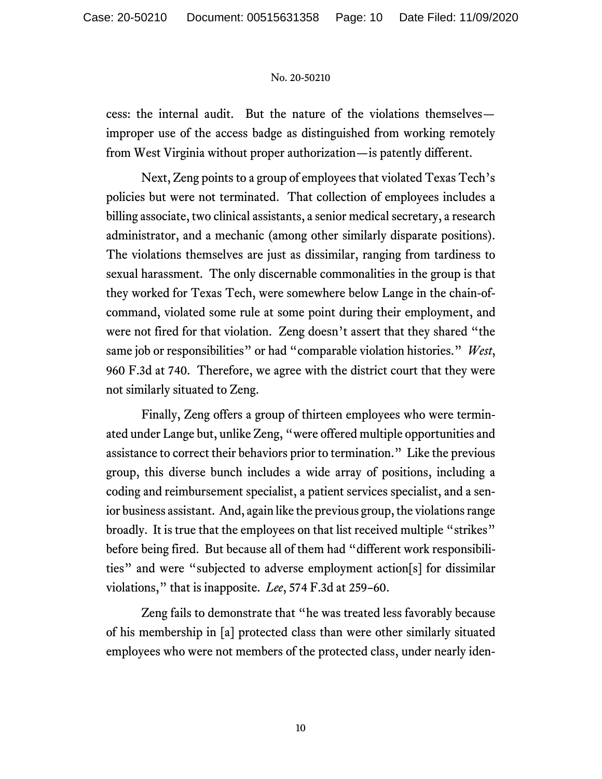cess: the internal audit. But the nature of the violations themselves improper use of the access badge as distinguished from working remotely from West Virginia without proper authorization—is patently different.

Next, Zeng points to a group of employees that violated Texas Tech's policies but were not terminated. That collection of employees includes a billing associate, two clinical assistants, a senior medical secretary, a research administrator, and a mechanic (among other similarly disparate positions). The violations themselves are just as dissimilar, ranging from tardiness to sexual harassment. The only discernable commonalities in the group is that they worked for Texas Tech, were somewhere below Lange in the chain-ofcommand, violated some rule at some point during their employment, and were not fired for that violation. Zeng doesn't assert that they shared "the same job or responsibilities" or had "comparable violation histories." *West*, 960 F.3d at 740. Therefore, we agree with the district court that they were not similarly situated to Zeng.

Finally, Zeng offers a group of thirteen employees who were terminated under Lange but, unlike Zeng, "were offered multiple opportunities and assistance to correct their behaviors prior to termination." Like the previous group, this diverse bunch includes a wide array of positions, including a coding and reimbursement specialist, a patient services specialist, and a senior business assistant. And, again like the previous group, the violations range broadly. It is true that the employees on that list received multiple "strikes" before being fired. But because all of them had "different work responsibilities" and were "subjected to adverse employment action[s] for dissimilar violations," that is inapposite. *Lee*, 574 F.3d at 259–60.

Zeng fails to demonstrate that "he was treated less favorably because of his membership in [a] protected class than were other similarly situated employees who were not members of the protected class, under nearly iden-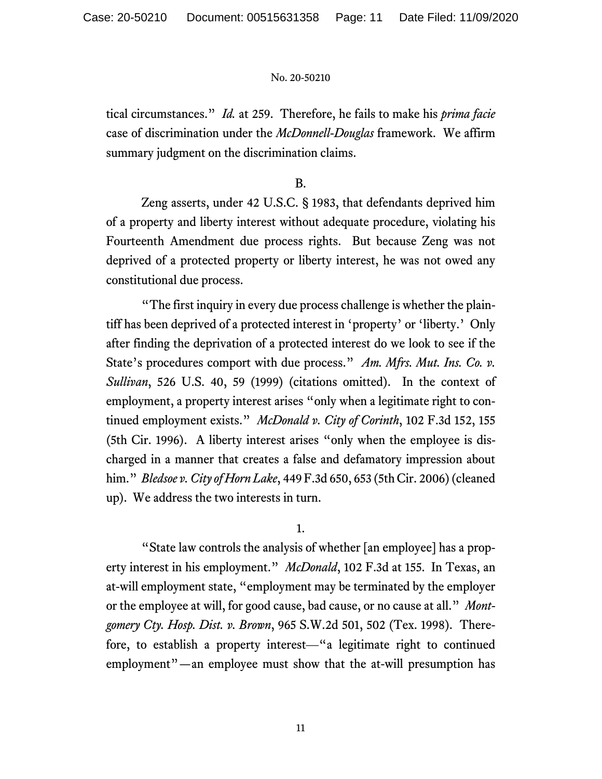tical circumstances." *Id.* at 259. Therefore, he fails to make his *prima facie* case of discrimination under the *McDonnell-Douglas* framework. We affirm summary judgment on the discrimination claims.

# B.

Zeng asserts, under 42 U.S.C. § 1983, that defendants deprived him of a property and liberty interest without adequate procedure, violating his Fourteenth Amendment due process rights. But because Zeng was not deprived of a protected property or liberty interest, he was not owed any constitutional due process.

"The first inquiry in every due process challenge is whether the plaintiff has been deprived of a protected interest in 'property' or 'liberty.' Only after finding the deprivation of a protected interest do we look to see if the State's procedures comport with due process." *Am. Mfrs. Mut. Ins. Co. v. Sullivan*, 526 U.S. 40, 59 (1999) (citations omitted). In the context of employment, a property interest arises "only when a legitimate right to continued employment exists." *McDonald v. City of Corinth*, 102 F.3d 152, 155 (5th Cir. 1996). A liberty interest arises "only when the employee is discharged in a manner that creates a false and defamatory impression about him." *Bledsoe v. City of Horn Lake*, 449 F.3d 650, 653 (5th Cir. 2006)(cleaned up). We address the two interests in turn.

1.

"State law controls the analysis of whether [an employee] has a property interest in his employment." *McDonald*, 102 F.3d at 155.In Texas, an at-will employment state, "employment may be terminated by the employer or the employee at will, for good cause, bad cause, or no cause at all." *Montgomery Cty. Hosp. Dist. v. Brown*, 965 S.W.2d 501, 502 (Tex. 1998). Therefore, to establish a property interest—"a legitimate right to continued employment"—an employee must show that the at-will presumption has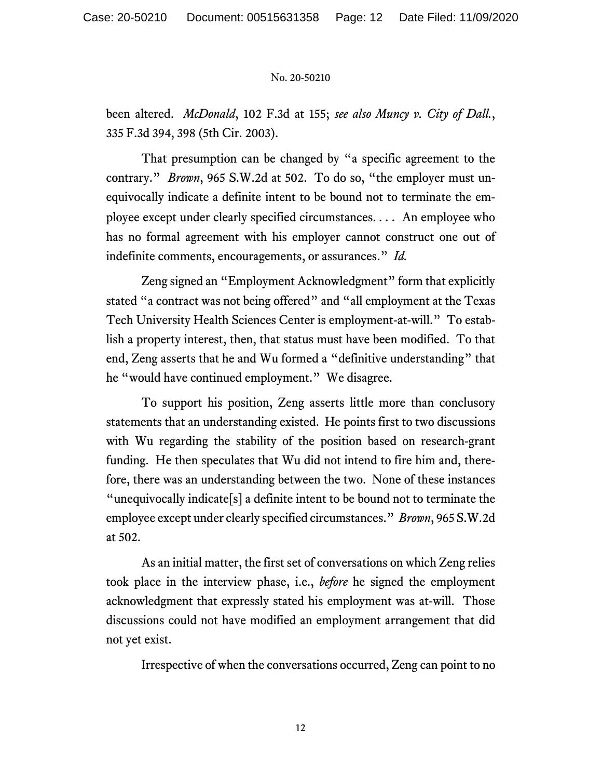been altered. *McDonald*, 102 F.3d at 155; *see also Muncy v. City of Dall.*, 335 F.3d 394, 398 (5th Cir. 2003).

That presumption can be changed by "a specific agreement to the contrary." *Brown*, 965 S.W.2d at 502.To do so, "the employer must unequivocally indicate a definite intent to be bound not to terminate the employee except under clearly specified circumstances. . . . An employee who has no formal agreement with his employer cannot construct one out of indefinite comments, encouragements, or assurances." *Id.*

Zeng signed an "Employment Acknowledgment" form that explicitly stated "a contract was not being offered" and "all employment at the Texas Tech University Health Sciences Center is employment-at-will." To establish a property interest, then, that status must have been modified. To that end, Zeng asserts that he and Wu formed a "definitive understanding" that he "would have continued employment." We disagree.

To support his position, Zeng asserts little more than conclusory statements that an understanding existed. He points first to two discussions with Wu regarding the stability of the position based on research-grant funding. He then speculates that Wu did not intend to fire him and, therefore, there was an understanding between the two. None of these instances "unequivocally indicate[s] a definite intent to be bound not to terminate the employee except under clearly specified circumstances." *Brown*, 965 S.W.2d at 502.

As an initial matter, the first set of conversations on which Zeng relies took place in the interview phase, i.e., *before* he signed the employment acknowledgment that expressly stated his employment was at-will. Those discussions could not have modified an employment arrangement that did not yet exist.

Irrespective of when the conversations occurred, Zeng can point to no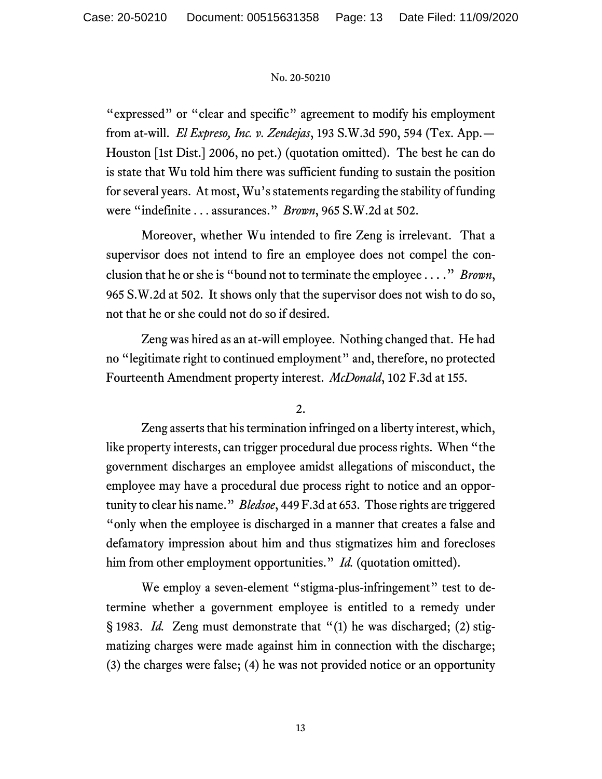"expressed" or "clear and specific" agreement to modify his employment from at-will. *El Expreso, Inc. v. Zendejas*, 193 S.W.3d 590, 594 (Tex. App.— Houston [1st Dist.] 2006, no pet.) (quotation omitted). The best he can do is state that Wu told him there was sufficient funding to sustain the position for several years. At most, Wu's statements regarding the stability of funding were "indefinite . . . assurances." *Brown*, 965 S.W.2d at 502.

Moreover, whether Wu intended to fire Zeng is irrelevant. That a supervisor does not intend to fire an employee does not compel the conclusion that he or she is "bound not to terminate the employee . . . ." *Brown*, 965 S.W.2d at 502. It shows only that the supervisor does not wish to do so, not that he or she could not do so if desired.

Zeng was hired as an at-will employee. Nothing changed that. He had no "legitimate right to continued employment" and, therefore, no protected Fourteenth Amendment property interest. *McDonald*, 102 F.3d at 155.

2.

Zeng asserts that his termination infringed on a liberty interest, which, like property interests, can trigger procedural due process rights. When "the government discharges an employee amidst allegations of misconduct, the employee may have a procedural due process right to notice and an opportunity to clear his name." *Bledsoe*, 449 F.3d at 653. Those rights are triggered "only when the employee is discharged in a manner that creates a false and defamatory impression about him and thus stigmatizes him and forecloses him from other employment opportunities." *Id.* (quotation omitted).

We employ a seven-element "stigma-plus-infringement" test to determine whether a government employee is entitled to a remedy under § 1983. *Id.* Zeng must demonstrate that "(1) he was discharged; (2) stigmatizing charges were made against him in connection with the discharge; (3) the charges were false; (4) he was not provided notice or an opportunity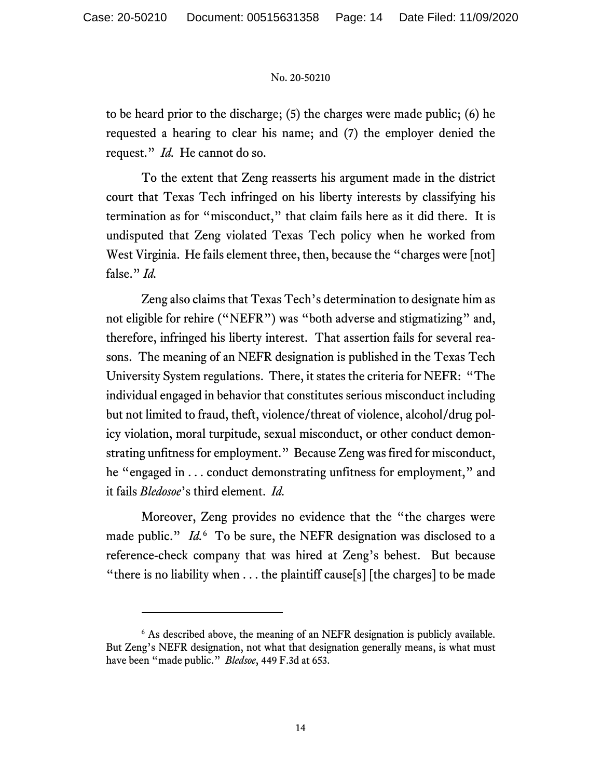to be heard prior to the discharge; (5) the charges were made public; (6) he requested a hearing to clear his name; and (7) the employer denied the request." *Id.* He cannot do so.

To the extent that Zeng reasserts his argument made in the district court that Texas Tech infringed on his liberty interests by classifying his termination as for "misconduct," that claim fails here as it did there. It is undisputed that Zeng violated Texas Tech policy when he worked from West Virginia. He fails element three, then, because the "charges were [not] false." *Id.*

Zeng also claims that Texas Tech's determination to designate him as not eligible for rehire ("NEFR") was "both adverse and stigmatizing" and, therefore, infringed his liberty interest. That assertion fails for several reasons. The meaning of an NEFR designation is published in the Texas Tech University System regulations. There, it states the criteria for NEFR: "The individual engaged in behavior that constitutes serious misconduct including but not limited to fraud, theft, violence/threat of violence, alcohol/drug policy violation, moral turpitude, sexual misconduct, or other conduct demonstrating unfitness for employment." Because Zeng was fired for misconduct, he "engaged in . . . conduct demonstrating unfitness for employment," and it fails *Bledosoe*'s third element. *Id.*

Moreover, Zeng provides no evidence that the "the charges were made public." *Id.*<sup>[6](#page-13-0)</sup> To be sure, the NEFR designation was disclosed to a reference-check company that was hired at Zeng's behest. But because "there is no liability when  $\dots$  the plaintiff cause[s] [the charges] to be made

<span id="page-13-0"></span><sup>&</sup>lt;sup>6</sup> As described above, the meaning of an NEFR designation is publicly available. But Zeng's NEFR designation, not what that designation generally means, is what must have been "made public." *Bledsoe*, 449 F.3d at 653.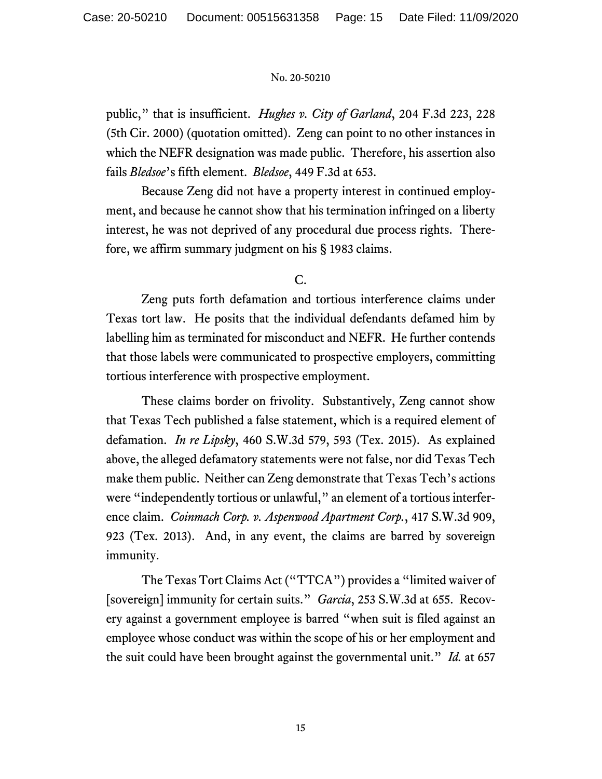public," that is insufficient. *Hughes v. City of Garland*, 204 F.3d 223, 228 (5th Cir. 2000) (quotation omitted). Zeng can point to no other instances in which the NEFR designation was made public. Therefore, his assertion also fails *Bledsoe*'s fifth element. *Bledsoe*, 449 F.3d at 653.

Because Zeng did not have a property interest in continued employment, and because he cannot show that his termination infringed on a liberty interest, he was not deprived of any procedural due process rights. Therefore, we affirm summary judgment on his § 1983 claims.

# C.

Zeng puts forth defamation and tortious interference claims under Texas tort law. He posits that the individual defendants defamed him by labelling him as terminated for misconduct and NEFR. He further contends that those labels were communicated to prospective employers, committing tortious interference with prospective employment.

These claims border on frivolity. Substantively, Zeng cannot show that Texas Tech published a false statement, which is a required element of defamation. *In re Lipsky*, 460 S.W.3d 579, 593 (Tex. 2015). As explained above, the alleged defamatory statements were not false, nor did Texas Tech make them public. Neither can Zeng demonstrate that Texas Tech's actions were "independently tortious or unlawful," an element of a tortious interference claim. *Coinmach Corp. v. Aspenwood Apartment Corp.*, 417 S.W.3d 909, 923 (Tex. 2013). And, in any event, the claims are barred by sovereign immunity.

The Texas Tort Claims Act ("TTCA") provides a "limited waiver of [sovereign] immunity for certain suits." *Garcia*, 253 S.W.3d at 655. Recovery against a government employee is barred "when suit is filed against an employee whose conduct was within the scope of his or her employment and the suit could have been brought against the governmental unit." *Id.* at 657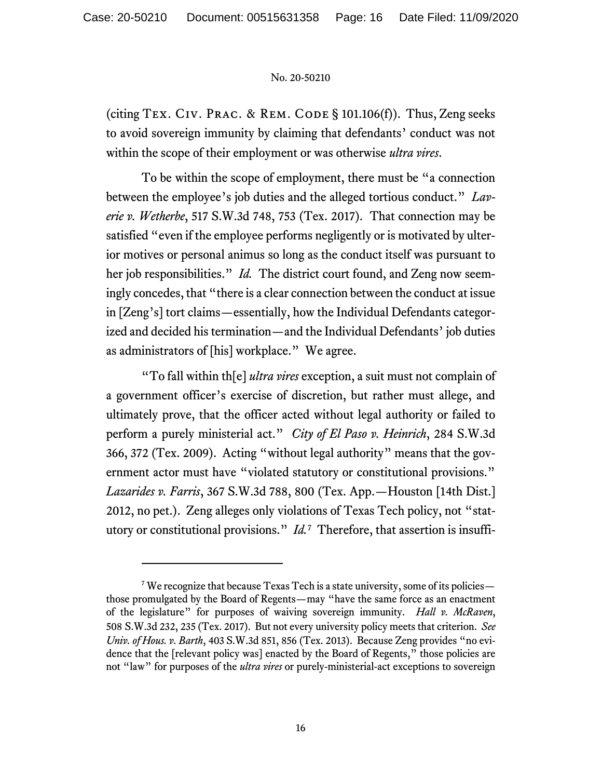(citing TEX. CIV. PRAC. & REM. CODE  $\S$  101.106(f)). Thus, Zeng seeks to avoid sovereign immunity by claiming that defendants' conduct was not within the scope of their employment or was otherwise *ultra vires*.

To be within the scope of employment, there must be "a connection between the employee's job duties and the alleged tortious conduct." *Laverie v. Wetherbe*, 517 S.W.3d 748, 753 (Tex. 2017). That connection may be satisfied "even if the employee performs negligently or is motivated by ulterior motives or personal animus so long as the conduct itself was pursuant to her job responsibilities." *Id.* The district court found, and Zeng now seemingly concedes, that "there is a clear connection between the conduct at issue in [Zeng's] tort claims—essentially, how the Individual Defendants categorized and decided his termination—and the Individual Defendants' job duties as administrators of [his] workplace." We agree.

"To fall within th[e] *ultra vires* exception, a suit must not complain of a government officer's exercise of discretion, but rather must allege, and ultimately prove, that the officer acted without legal authority or failed to perform a purely ministerial act." *City of El Paso v. Heinrich*, 284 S.W.3d 366, 372 (Tex. 2009). Acting "without legal authority" means that the government actor must have "violated statutory or constitutional provisions." *Lazarides v. Farris*, 367 S.W.3d 788, 800 (Tex. App.—Houston [14th Dist.] 2012, no pet.). Zeng alleges only violations of Texas Tech policy, not "statutory or constitutional provisions." *Id.*[7](#page-15-0) Therefore, that assertion is insuffi-

<span id="page-15-0"></span><sup>&</sup>lt;sup>7</sup> We recognize that because Texas Tech is a state university, some of its policies those promulgated by the Board of Regents—may "have the same force as an enactment of the legislature" for purposes of waiving sovereign immunity. *Hall v. McRaven*, 508 S.W.3d 232, 235 (Tex. 2017). But not every university policy meets that criterion. *See Univ. of Hous. v. Barth*, 403 S.W.3d 851, 856 (Tex. 2013). Because Zeng provides "no evidence that the [relevant policy was] enacted by the Board of Regents," those policies are not "law" for purposes of the *ultra vires* or purely-ministerial-act exceptions to sovereign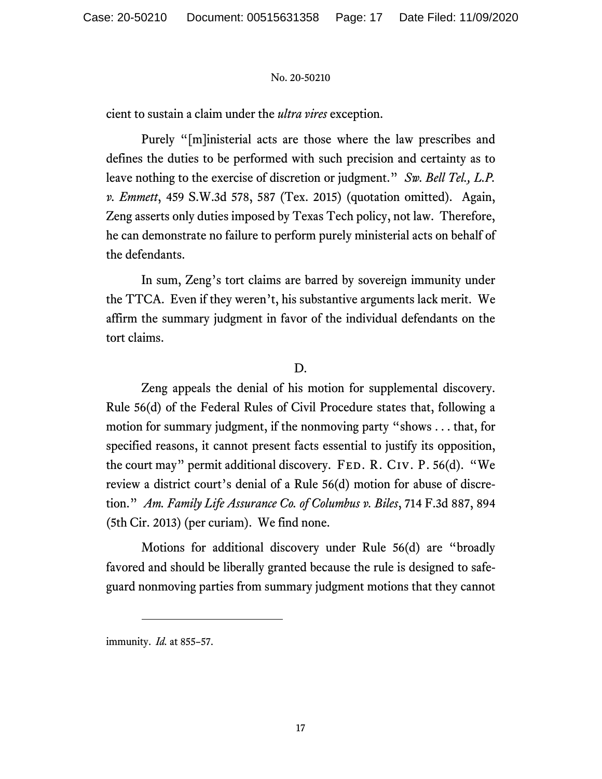cient to sustain a claim under the *ultra vires* exception.

Purely "[m]inisterial acts are those where the law prescribes and defines the duties to be performed with such precision and certainty as to leave nothing to the exercise of discretion or judgment." *Sw. Bell Tel., L.P. v. Emmett*, 459 S.W.3d 578, 587 (Tex. 2015) (quotation omitted). Again, Zeng asserts only duties imposed by Texas Tech policy, not law. Therefore, he can demonstrate no failure to perform purely ministerial acts on behalf of the defendants.

In sum, Zeng's tort claims are barred by sovereign immunity under the TTCA. Even if they weren't, his substantive arguments lack merit. We affirm the summary judgment in favor of the individual defendants on the tort claims.

# D.

Zeng appeals the denial of his motion for supplemental discovery. Rule 56(d) of the Federal Rules of Civil Procedure states that, following a motion for summary judgment, if the nonmoving party "shows . . . that, for specified reasons, it cannot present facts essential to justify its opposition, the court may" permit additional discovery. FED. R. CIV. P. 56(d). "We review a district court's denial of a Rule 56(d) motion for abuse of discretion." *Am. Family Life Assurance Co. of Columbus v. Biles*, 714 F.3d 887, 894 (5th Cir. 2013) (per curiam). We find none.

Motions for additional discovery under Rule 56(d) are "broadly favored and should be liberally granted because the rule is designed to safeguard nonmoving parties from summary judgment motions that they cannot

immunity. *Id.* at 855–57.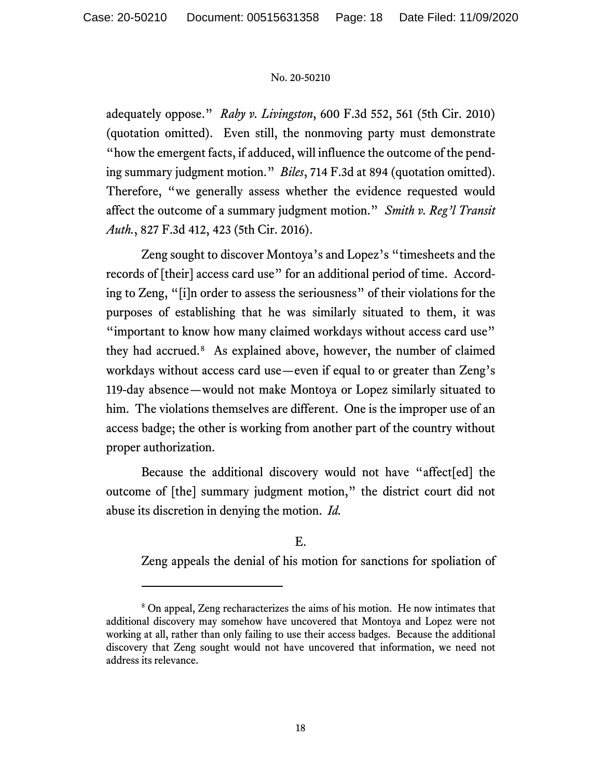adequately oppose." *Raby v. Livingston*, 600 F.3d 552, 561 (5th Cir. 2010) (quotation omitted). Even still, the nonmoving party must demonstrate "how the emergent facts, if adduced, will influence the outcome of the pending summary judgment motion." *Biles*, 714 F.3d at 894 (quotation omitted). Therefore, "we generally assess whether the evidence requested would affect the outcome of a summary judgment motion." *Smith v. Reg'l Transit Auth.*, 827 F.3d 412, 423 (5th Cir. 2016).

Zeng sought to discover Montoya's and Lopez's "timesheets and the records of [their] access card use" for an additional period of time. According to Zeng, "[i]n order to assess the seriousness" of their violations for the purposes of establishing that he was similarly situated to them, it was "important to know how many claimed workdays without access card use" they had accrued.[8](#page-17-0) As explained above, however, the number of claimed workdays without access card use—even if equal to or greater than Zeng's 119-day absence—would not make Montoya or Lopez similarly situated to him. The violations themselves are different. One is the improper use of an access badge; the other is working from another part of the country without proper authorization.

Because the additional discovery would not have "affect[ed] the outcome of [the] summary judgment motion," the district court did not abuse its discretion in denying the motion. *Id.*

# E.

Zeng appeals the denial of his motion for sanctions for spoliation of

<span id="page-17-0"></span><sup>8</sup> On appeal, Zeng recharacterizes the aims of his motion. He now intimates that additional discovery may somehow have uncovered that Montoya and Lopez were not working at all, rather than only failing to use their access badges. Because the additional discovery that Zeng sought would not have uncovered that information, we need not address its relevance.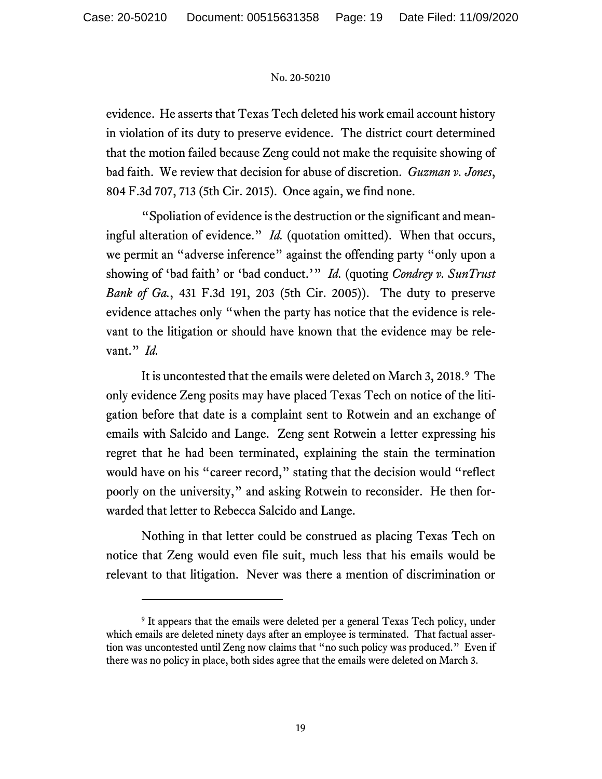evidence. He asserts that Texas Tech deleted his work email account history in violation of its duty to preserve evidence. The district court determined that the motion failed because Zeng could not make the requisite showing of bad faith. We review that decision for abuse of discretion. *Guzman v. Jones*, 804 F.3d 707, 713 (5th Cir. 2015). Once again, we find none.

"Spoliation of evidence is the destruction or the significant and meaningful alteration of evidence." *Id.* (quotation omitted). When that occurs, we permit an "adverse inference" against the offending party "only upon a showing of 'bad faith' or 'bad conduct.'" *Id.* (quoting *Condrey v. SunTrust Bank of Ga.*, 431 F.3d 191, 203 (5th Cir. 2005)). The duty to preserve evidence attaches only "when the party has notice that the evidence is relevant to the litigation or should have known that the evidence may be relevant." *Id.*

It is uncontested that the emails were deleted on March 3, 2018.<sup>[9](#page-18-0)</sup> The only evidence Zeng posits may have placed Texas Tech on notice of the litigation before that date is a complaint sent to Rotwein and an exchange of emails with Salcido and Lange. Zeng sent Rotwein a letter expressing his regret that he had been terminated, explaining the stain the termination would have on his "career record," stating that the decision would "reflect poorly on the university," and asking Rotwein to reconsider. He then forwarded that letter to Rebecca Salcido and Lange.

Nothing in that letter could be construed as placing Texas Tech on notice that Zeng would even file suit, much less that his emails would be relevant to that litigation. Never was there a mention of discrimination or

<span id="page-18-0"></span><sup>&</sup>lt;sup>9</sup> It appears that the emails were deleted per a general Texas Tech policy, under which emails are deleted ninety days after an employee is terminated. That factual assertion was uncontested until Zeng now claims that "no such policy was produced." Even if there was no policy in place, both sides agree that the emails were deleted on March 3.